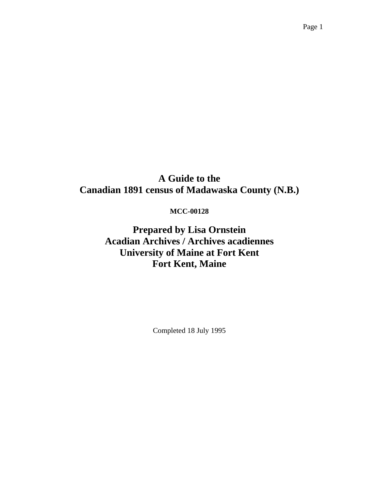# **A Guide to the Canadian 1891 census of Madawaska County (N.B.)**

### **MCC-00128**

**Prepared by Lisa Ornstein Acadian Archives / Archives acadiennes University of Maine at Fort Kent Fort Kent, Maine** 

Completed 18 July 1995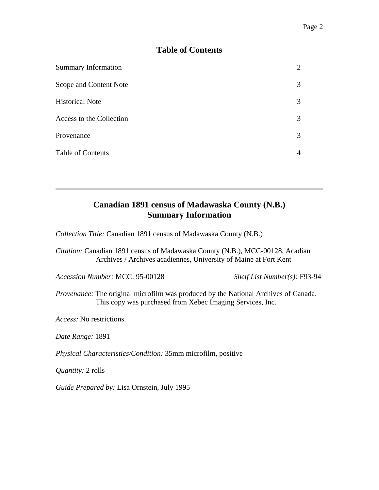### **Table of Contents**

| <b>Summary Information</b> |   |
|----------------------------|---|
| Scope and Content Note     | 3 |
| <b>Historical Note</b>     | 3 |
| Access to the Collection   | 3 |
| Provenance                 | 3 |
| <b>Table of Contents</b>   | 4 |

## **Canadian 1891 census of Madawaska County (N.B.) Summary Information**

*Collection Title:* Canadian 1891 census of Madawaska County (N.B.)

*Citation:* Canadian 1891 census of Madawaska County (N.B.), MCC-00128, Acadian Archives / Archives acadiennes, University of Maine at Fort Kent

*Accession Number:* MCC: 95-00128 *Shelf List Number(s):* F93-94

*Provenance:* The original microfilm was produced by the National Archives of Canada. This copy was purchased from Xebec Imaging Services, Inc.

*Access:* No restrictions.

*Date Range:* 1891

*Physical Characteristics/Condition:* 35mm microfilm, positive

*Quantity:* 2 rolls

*Guide Prepared by:* Lisa Ornstein, July 1995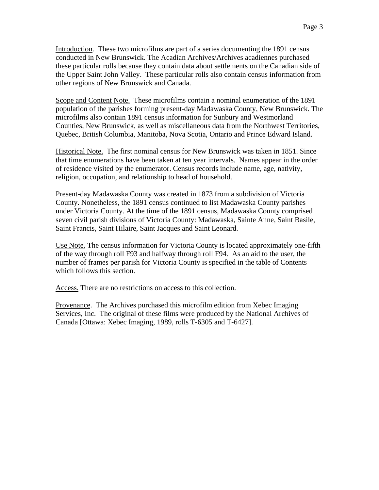Scope and Content Note. These microfilms contain a nominal enumeration of the 1891 population of the parishes forming present-day Madawaska County, New Brunswick. The microfilms also contain 1891 census information for Sunbury and Westmorland Counties, New Brunswick, as well as miscellaneous data from the Northwest Territories, Quebec, British Columbia, Manitoba, Nova Scotia, Ontario and Prince Edward Island.

Historical Note. The first nominal census for New Brunswick was taken in 1851. Since that time enumerations have been taken at ten year intervals. Names appear in the order of residence visited by the enumerator. Census records include name, age, nativity, religion, occupation, and relationship to head of household.

Present-day Madawaska County was created in 1873 from a subdivision of Victoria County. Nonetheless, the 1891 census continued to list Madawaska County parishes under Victoria County. At the time of the 1891 census, Madawaska County comprised seven civil parish divisions of Victoria County: Madawaska, Sainte Anne, Saint Basile, Saint Francis, Saint Hilaire, Saint Jacques and Saint Leonard.

Use Note. The census information for Victoria County is located approximately one-fifth of the way through roll F93 and halfway through roll F94. As an aid to the user, the number of frames per parish for Victoria County is specified in the table of Contents which follows this section.

Access. There are no restrictions on access to this collection.

Provenance. The Archives purchased this microfilm edition from Xebec Imaging Services, Inc. The original of these films were produced by the National Archives of Canada [Ottawa: Xebec Imaging, 1989, rolls T-6305 and T-6427].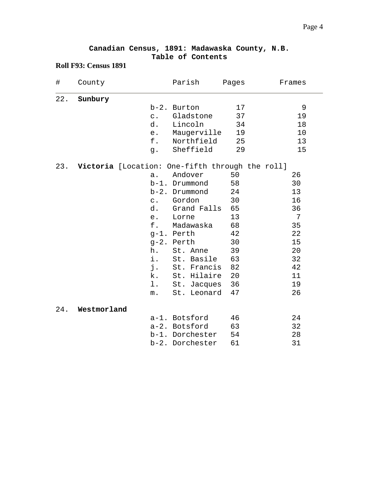|  | Canadian Census, 1891: Madawaska County, N.B. |  |
|--|-----------------------------------------------|--|
|  | Table of Contents                             |  |

### **Roll F93: Census 1891**

| $\#$ | County                                              |                | Parish            | Pages | Frames |
|------|-----------------------------------------------------|----------------|-------------------|-------|--------|
| 22.  | Sunbury                                             |                |                   |       |        |
|      |                                                     |                | b-2. Burton       | 17    | 9      |
|      |                                                     | $\mathtt{C}$ . | Gladstone         | 37    | 19     |
|      |                                                     | d.             | Lincoln           | 34    | 18     |
|      |                                                     | e.             | Maugerville       | 19    | 10     |
|      |                                                     | f.             | Northfield        | 25    | 13     |
|      |                                                     | g.             | Sheffield         | 29    | 15     |
|      | 23. Victoria [Location: One-fifth through the roll] |                |                   |       |        |
|      |                                                     | a.             | Andover           | 50    | 26     |
|      |                                                     |                | b-1. Drummond     | 58    | 30     |
|      |                                                     |                | b-2. Drummond     | 24    | 13     |
|      |                                                     |                | c. Gordon         | 30    | 16     |
|      |                                                     |                | d. Grand Falls 65 |       | 36     |
|      |                                                     | e.             | Lorne             | 13    | 7      |
|      |                                                     | f.             | Madawaska         | 68    | 35     |
|      |                                                     |                | g-1. Perth        | 42    | 22     |
|      |                                                     |                | g-2. Perth        | 30    | 15     |
|      |                                                     | h.             | St. Anne          | 39    | 20     |
|      |                                                     | i.             | St. Basile        | 63    | 32     |
|      |                                                     | j.             | St. Francis       | 82    | 42     |
|      |                                                     | k.             | St. Hilaire       | 20    | 11     |
|      |                                                     | $1$ .          | St. Jacques       | 36    | 19     |
|      |                                                     | $m$ .          | St. Leonard       | 47    | 26     |
| 24.  | Westmorland                                         |                |                   |       |        |
|      |                                                     |                | a-1. Botsford     | 46    | 24     |
|      |                                                     |                | a-2. Botsford     | 63    | 32     |
|      |                                                     |                | b-1. Dorchester   | 54    | 28     |
|      |                                                     |                | b-2. Dorchester   | 61    | 31     |